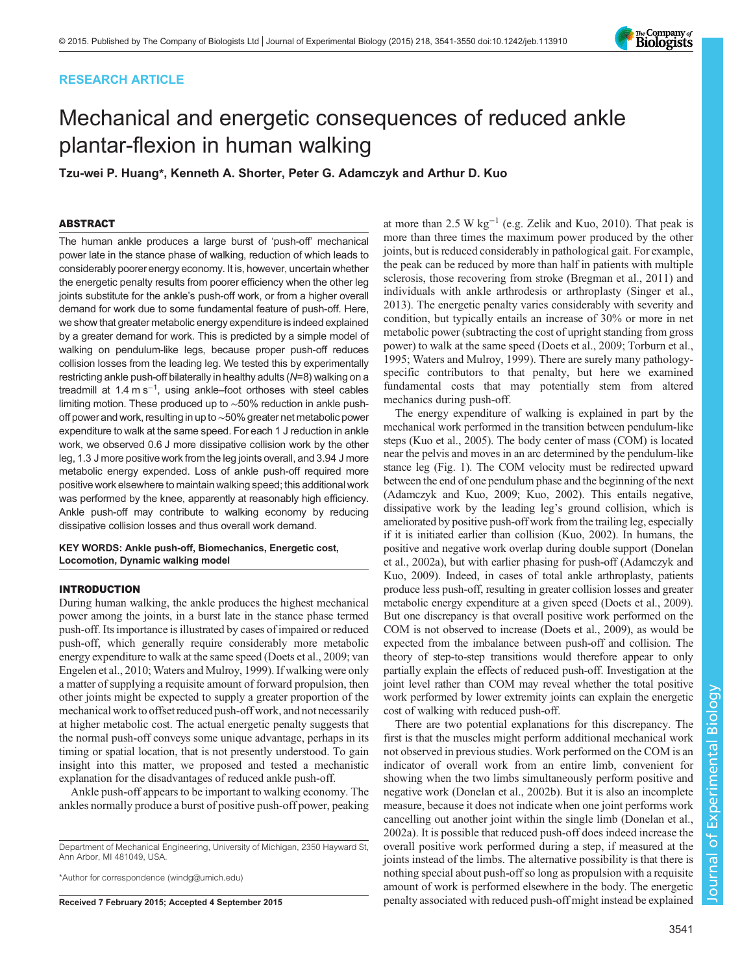# RESEARCH ARTICLE

# Mechanical and energetic consequences of reduced ankle plantar-flexion in human walking

Tzu-wei P. Huang\*, Kenneth A. Shorter, Peter G. Adamczyk and Arthur D. Kuo

# ABSTRACT

The human ankle produces a large burst of 'push-off' mechanical power late in the stance phase of walking, reduction of which leads to considerably poorer energy economy. It is, however, uncertain whether the energetic penalty results from poorer efficiency when the other leg joints substitute for the ankle's push-off work, or from a higher overall demand for work due to some fundamental feature of push-off. Here, we show that greater metabolic energy expenditure is indeed explained by a greater demand for work. This is predicted by a simple model of walking on pendulum-like legs, because proper push-off reduces collision losses from the leading leg. We tested this by experimentally restricting ankle push-off bilaterally in healthy adults (N=8) walking on a treadmill at 1.4 m s<sup>-1</sup>, using ankle–foot orthoses with steel cables limiting motion. These produced up to ∼50% reduction in ankle pushoff power and work, resulting in up to∼50% greater net metabolic power expenditure to walk at the same speed. For each 1 J reduction in ankle work, we observed 0.6 J more dissipative collision work by the other leg, 1.3 J more positive work from the leg joints overall, and 3.94 J more metabolic energy expended. Loss of ankle push-off required more positive work elsewhere to maintain walking speed; this additional work was performed by the knee, apparently at reasonably high efficiency. Ankle push-off may contribute to walking economy by reducing dissipative collision losses and thus overall work demand.

# KEY WORDS: Ankle push-off, Biomechanics, Energetic cost, Locomotion, Dynamic walking model

## INTRODUCTION

During human walking, the ankle produces the highest mechanical power among the joints, in a burst late in the stance phase termed push-off. Its importance is illustrated by cases of impaired or reduced push-off, which generally require considerably more metabolic energy expenditure to walk at the same speed ([Doets et al., 2009](#page-8-0); [van](#page-9-0) [Engelen et al., 2010](#page-9-0); [Waters and Mulroy, 1999\)](#page-9-0). If walking were only a matter of supplying a requisite amount of forward propulsion, then other joints might be expected to supply a greater proportion of the mechanical work to offset reduced push-off work, and not necessarily at higher metabolic cost. The actual energetic penalty suggests that the normal push-off conveys some unique advantage, perhaps in its timing or spatial location, that is not presently understood. To gain insight into this matter, we proposed and tested a mechanistic explanation for the disadvantages of reduced ankle push-off.

Ankle push-off appears to be important to walking economy. The ankles normally produce a burst of positive push-off power, peaking

Department of Mechanical Engineering, University of Michigan, 2350 Hayward St, Ann Arbor, MI 481049, USA.

\*Author for correspondence [\(windg@umich.edu\)](mailto:windg@umich.edu)

at more than 2.5 W  $kg^{-1}$  (e.g. [Zelik and Kuo, 2010\)](#page-9-0). That peak is more than three times the maximum power produced by the other joints, but is reduced considerably in pathological gait. For example, the peak can be reduced by more than half in patients with multiple sclerosis, those recovering from stroke [\(Bregman et al., 2011](#page-8-0)) and individuals with ankle arthrodesis or arthroplasty ([Singer et al.,](#page-9-0) [2013\)](#page-9-0). The energetic penalty varies considerably with severity and condition, but typically entails an increase of 30% or more in net metabolic power (subtracting the cost of upright standing from gross power) to walk at the same speed [\(Doets et al., 2009](#page-8-0); [Torburn et al.,](#page-9-0) [1995; Waters and Mulroy, 1999\)](#page-9-0). There are surely many pathologyspecific contributors to that penalty, but here we examined fundamental costs that may potentially stem from altered mechanics during push-off.

The energy expenditure of walking is explained in part by the mechanical work performed in the transition between pendulum-like steps ([Kuo et al., 2005](#page-8-0)). The body center of mass (COM) is located near the pelvis and moves in an arc determined by the pendulum-like stance leg [\(Fig. 1\)](#page-1-0). The COM velocity must be redirected upward between the end of one pendulum phase and the beginning of the next [\(Adamczyk and Kuo, 2009; Kuo, 2002](#page-8-0)). This entails negative, dissipative work by the leading leg's ground collision, which is ameliorated by positive push-off work from the trailing leg, especially if it is initiated earlier than collision [\(Kuo, 2002\)](#page-8-0). In humans, the positive and negative work overlap during double support ([Donelan](#page-8-0) [et al., 2002a](#page-8-0)), but with earlier phasing for push-off ([Adamczyk and](#page-8-0) [Kuo, 2009](#page-8-0)). Indeed, in cases of total ankle arthroplasty, patients produce less push-off, resulting in greater collision losses and greater metabolic energy expenditure at a given speed ([Doets et al., 2009\)](#page-8-0). But one discrepancy is that overall positive work performed on the COM is not observed to increase ([Doets et al., 2009\)](#page-8-0), as would be expected from the imbalance between push-off and collision. The theory of step-to-step transitions would therefore appear to only partially explain the effects of reduced push-off. Investigation at the joint level rather than COM may reveal whether the total positive work performed by lower extremity joints can explain the energetic cost of walking with reduced push-off.

There are two potential explanations for this discrepancy. The first is that the muscles might perform additional mechanical work not observed in previous studies. Work performed on the COM is an indicator of overall work from an entire limb, convenient for showing when the two limbs simultaneously perform positive and negative work ([Donelan et al., 2002b](#page-8-0)). But it is also an incomplete measure, because it does not indicate when one joint performs work cancelling out another joint within the single limb [\(Donelan et al.,](#page-8-0) [2002a](#page-8-0)). It is possible that reduced push-off does indeed increase the overall positive work performed during a step, if measured at the joints instead of the limbs. The alternative possibility is that there is nothing special about push-off so long as propulsion with a requisite amount of work is performed elsewhere in the body. The energetic Received 7 February 2015; Accepted 4 September 2015 penalty associated with reduced push-off might instead be explained

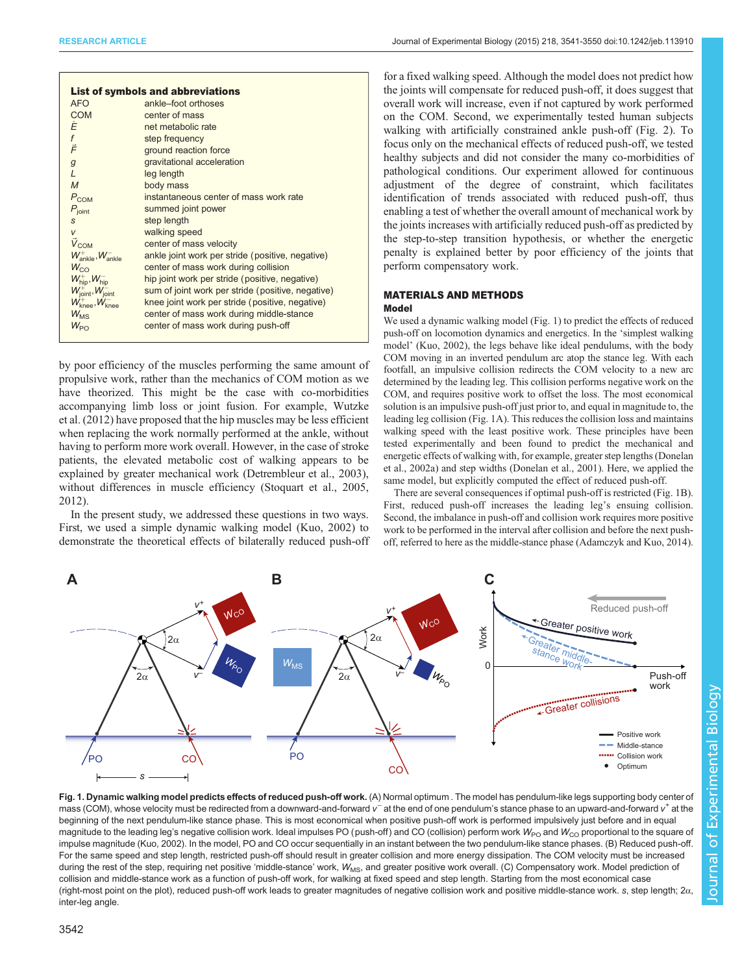<span id="page-1-0"></span>

|                                          | <b>List of symbols and abbreviations</b>          |  |  |  |  |  |  |
|------------------------------------------|---------------------------------------------------|--|--|--|--|--|--|
| AFO                                      | ankle-foot orthoses                               |  |  |  |  |  |  |
| <b>COM</b>                               | center of mass                                    |  |  |  |  |  |  |
| Ė                                        | net metabolic rate                                |  |  |  |  |  |  |
| $f \n\vec{F}$                            | step frequency                                    |  |  |  |  |  |  |
|                                          | ground reaction force                             |  |  |  |  |  |  |
| $\mathcal{G}$                            | gravitational acceleration                        |  |  |  |  |  |  |
| L                                        | leg length                                        |  |  |  |  |  |  |
| $\overline{M}$                           | body mass                                         |  |  |  |  |  |  |
| $P_{COM}$                                | instantaneous center of mass work rate            |  |  |  |  |  |  |
| $P_{\text{joint}}$                       | summed joint power                                |  |  |  |  |  |  |
| S                                        | step length                                       |  |  |  |  |  |  |
| V                                        | walking speed                                     |  |  |  |  |  |  |
| $\vec{V}_{COM}$                          | center of mass velocity                           |  |  |  |  |  |  |
| $W^+_{\text{ankle}}, W^-_{\text{ankle}}$ | ankle joint work per stride (positive, negative)  |  |  |  |  |  |  |
| $W_{CO}$                                 | center of mass work during collision              |  |  |  |  |  |  |
| $W_{\text{hip}}^+$ , $W_{\text{hip}}^-$  | hip joint work per stride (positive, negative)    |  |  |  |  |  |  |
| $W^+_{\text{joint}}, W^-_{\text{joint}}$ | sum of joint work per stride (positive, negative) |  |  |  |  |  |  |
| $W^+_{\text{knee}}, W^-_{\text{knee}}$   | knee joint work per stride (positive, negative)   |  |  |  |  |  |  |
| $W_{\text{MSE}}$                         | center of mass work during middle-stance          |  |  |  |  |  |  |
| $W_{\text{PO}}$                          | center of mass work during push-off               |  |  |  |  |  |  |
|                                          |                                                   |  |  |  |  |  |  |

by poor efficiency of the muscles performing the same amount of propulsive work, rather than the mechanics of COM motion as we have theorized. This might be the case with co-morbidities accompanying limb loss or joint fusion. For example, [Wutzke](#page-9-0) [et al. \(2012\)](#page-9-0) have proposed that the hip muscles may be less efficient when replacing the work normally performed at the ankle, without having to perform more work overall. However, in the case of stroke patients, the elevated metabolic cost of walking appears to be explained by greater mechanical work ([Detrembleur et al., 2003\)](#page-8-0), without differences in muscle efficiency [\(Stoquart et al., 2005,](#page-9-0) [2012](#page-9-0)).

In the present study, we addressed these questions in two ways. First, we used a simple dynamic walking model [\(Kuo, 2002\)](#page-8-0) to demonstrate the theoretical effects of bilaterally reduced push-off

for a fixed walking speed. Although the model does not predict how the joints will compensate for reduced push-off, it does suggest that overall work will increase, even if not captured by work performed on the COM. Second, we experimentally tested human subjects walking with artificially constrained ankle push-off [\(Fig. 2](#page-2-0)). To focus only on the mechanical effects of reduced push-off, we tested healthy subjects and did not consider the many co-morbidities of pathological conditions. Our experiment allowed for continuous adjustment of the degree of constraint, which facilitates identification of trends associated with reduced push-off, thus enabling a test of whether the overall amount of mechanical work by the joints increases with artificially reduced push-off as predicted by the step-to-step transition hypothesis, or whether the energetic penalty is explained better by poor efficiency of the joints that perform compensatory work.

## MATERIALS AND METHODS Model

We used a dynamic walking model (Fig. 1) to predict the effects of reduced push-off on locomotion dynamics and energetics. In the 'simplest walking model' [\(Kuo, 2002\)](#page-8-0), the legs behave like ideal pendulums, with the body COM moving in an inverted pendulum arc atop the stance leg. With each footfall, an impulsive collision redirects the COM velocity to a new arc determined by the leading leg. This collision performs negative work on the COM, and requires positive work to offset the loss. The most economical solution is an impulsive push-off just prior to, and equal in magnitude to, the leading leg collision (Fig. 1A). This reduces the collision loss and maintains walking speed with the least positive work. These principles have been tested experimentally and been found to predict the mechanical and energetic effects of walking with, for example, greater step lengths [\(Donelan](#page-8-0) [et al., 2002a\)](#page-8-0) and step widths [\(Donelan et al., 2001](#page-8-0)). Here, we applied the same model, but explicitly computed the effect of reduced push-off.

There are several consequences if optimal push-off is restricted (Fig. 1B). First, reduced push-off increases the leading leg's ensuing collision. Second, the imbalance in push-off and collision work requires more positive work to be performed in the interval after collision and before the next pushoff, referred to here as the middle-stance phase [\(Adamczyk and Kuo, 2014](#page-8-0)).

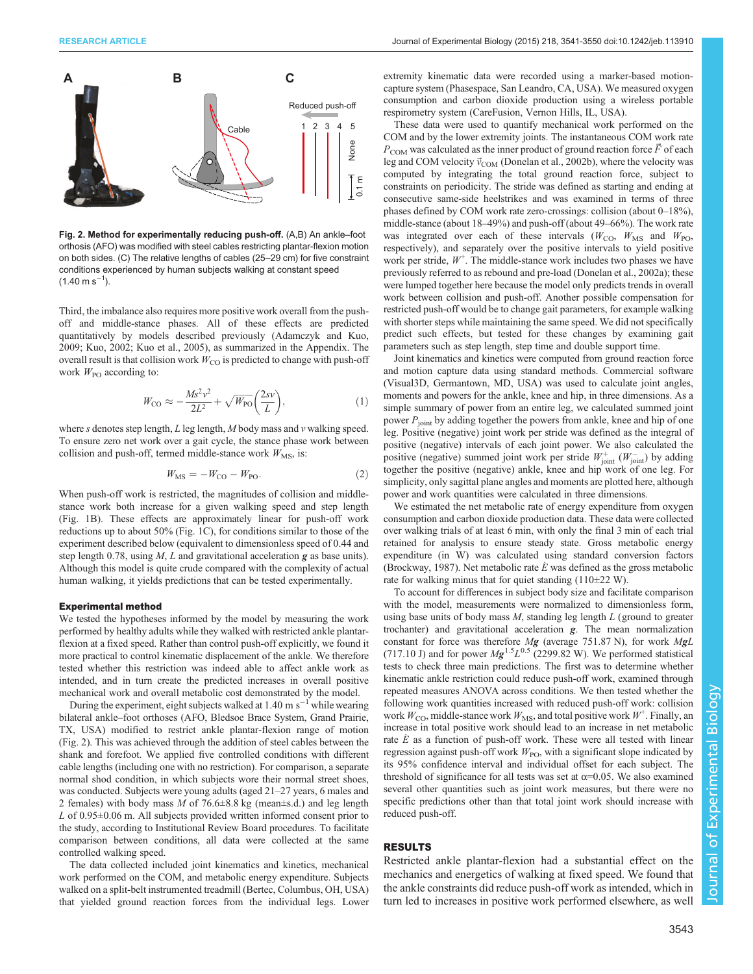<span id="page-2-0"></span>

Fig. 2. Method for experimentally reducing push-off. (A,B) An ankle–foot orthosis (AFO) was modified with steel cables restricting plantar-flexion motion on both sides. (C) The relative lengths of cables (25–29 cm) for five constraint conditions experienced by human subjects walking at constant speed  $(1.40 \text{ m s}^{-1}).$ 

Third, the imbalance also requires more positive work overall from the pushoff and middle-stance phases. All of these effects are predicted quantitatively by models described previously ([Adamczyk and Kuo,](#page-8-0) [2009](#page-8-0); [Kuo, 2002](#page-8-0); [Kuo et al., 2005](#page-8-0)), as summarized in the Appendix. The overall result is that collision work  $W_{\rm CO}$  is predicted to change with push-off work  $W_{\text{PO}}$  according to:

$$
W_{\rm CO} \approx -\frac{Ms^2v^2}{2L^2} + \sqrt{W_{\rm PO}} \left(\frac{2sv}{L}\right),\tag{1}
$$

where  $s$  denotes step length,  $L$  leg length,  $M$  body mass and  $v$  walking speed. To ensure zero net work over a gait cycle, the stance phase work between collision and push-off, termed middle-stance work  $W_{\text{MS}}$ , is:

$$
W_{\rm MS} = -W_{\rm CO} - W_{\rm PO}.\tag{2}
$$

When push-off work is restricted, the magnitudes of collision and middlestance work both increase for a given walking speed and step length ([Fig. 1](#page-1-0)B). These effects are approximately linear for push-off work reductions up to about 50% [\(Fig. 1](#page-1-0)C), for conditions similar to those of the experiment described below (equivalent to dimensionless speed of 0.44 and step length 0.78, using  $M$ ,  $L$  and gravitational acceleration  $g$  as base units). Although this model is quite crude compared with the complexity of actual human walking, it yields predictions that can be tested experimentally.

## Experimental method

We tested the hypotheses informed by the model by measuring the work performed by healthy adults while they walked with restricted ankle plantarflexion at a fixed speed. Rather than control push-off explicitly, we found it more practical to control kinematic displacement of the ankle. We therefore tested whether this restriction was indeed able to affect ankle work as intended, and in turn create the predicted increases in overall positive mechanical work and overall metabolic cost demonstrated by the model.

During the experiment, eight subjects walked at 1.40 m s<sup> $-1$ </sup> while wearing bilateral ankle–foot orthoses (AFO, Bledsoe Brace System, Grand Prairie, TX, USA) modified to restrict ankle plantar-flexion range of motion (Fig. 2). This was achieved through the addition of steel cables between the shank and forefoot. We applied five controlled conditions with different cable lengths (including one with no restriction). For comparison, a separate normal shod condition, in which subjects wore their normal street shoes, was conducted. Subjects were young adults (aged 21–27 years, 6 males and 2 females) with body mass  $M$  of 76.6 $\pm$ 8.8 kg (mean $\pm$ s.d.) and leg length L of  $0.95\pm0.06$  m. All subjects provided written informed consent prior to the study, according to Institutional Review Board procedures. To facilitate comparison between conditions, all data were collected at the same controlled walking speed.

The data collected included joint kinematics and kinetics, mechanical work performed on the COM, and metabolic energy expenditure. Subjects walked on a split-belt instrumented treadmill (Bertec, Columbus, OH, USA) that yielded ground reaction forces from the individual legs. Lower

extremity kinematic data were recorded using a marker-based motioncapture system (Phasespace, San Leandro, CA, USA). We measured oxygen consumption and carbon dioxide production using a wireless portable respirometry system (CareFusion, Vernon Hills, IL, USA).

These data were used to quantify mechanical work performed on the COM and by the lower extremity joints. The instantaneous COM work rate  $P_{COM}$  was calculated as the inner product of ground reaction force  $\vec{F}$  of each leg and COM velocity  $\vec{v}_{COM}$  ([Donelan et al., 2002b](#page-8-0)), where the velocity was computed by integrating the total ground reaction force, subject to constraints on periodicity. The stride was defined as starting and ending at consecutive same-side heelstrikes and was examined in terms of three phases defined by COM work rate zero-crossings: collision (about 0–18%), middle-stance (about 18–49%) and push-off (about 49–66%). The work rate was integrated over each of these intervals ( $W_{\text{CO}}$ ,  $W_{\text{MS}}$  and  $W_{\text{PO}}$ , respectively), and separately over the positive intervals to yield positive work per stride,  $W^+$ . The middle-stance work includes two phases we have previously referred to as rebound and pre-load [\(Donelan et al., 2002a\)](#page-8-0); these were lumped together here because the model only predicts trends in overall work between collision and push-off. Another possible compensation for restricted push-off would be to change gait parameters, for example walking with shorter steps while maintaining the same speed. We did not specifically predict such effects, but tested for these changes by examining gait parameters such as step length, step time and double support time.

Joint kinematics and kinetics were computed from ground reaction force and motion capture data using standard methods. Commercial software (Visual3D, Germantown, MD, USA) was used to calculate joint angles, moments and powers for the ankle, knee and hip, in three dimensions. As a simple summary of power from an entire leg, we calculated summed joint power  $P_{\text{joint}}$  by adding together the powers from ankle, knee and hip of one leg. Positive (negative) joint work per stride was defined as the integral of positive (negative) intervals of each joint power. We also calculated the positive (negative) summed joint work per stride  $W^+_{\text{joint}}(W^-_{\text{joint}})$  by adding together the positive (negative) ankle, knee and hip work of one leg. For simplicity, only sagittal plane angles and moments are plotted here, although power and work quantities were calculated in three dimensions.

We estimated the net metabolic rate of energy expenditure from oxygen consumption and carbon dioxide production data. These data were collected over walking trials of at least 6 min, with only the final 3 min of each trial retained for analysis to ensure steady state. Gross metabolic energy expenditure (in W) was calculated using standard conversion factors ([Brockway, 1987\)](#page-8-0). Net metabolic rate  $\dot{E}$  was defined as the gross metabolic rate for walking minus that for quiet standing (110±22 W).

To account for differences in subject body size and facilitate comparison with the model, measurements were normalized to dimensionless form, using base units of body mass  $M$ , standing leg length  $L$  (ground to greater trochanter) and gravitational acceleration g. The mean normalization constant for force was therefore  $Mg$  (average 751.87 N), for work  $MgL$ (717.10 J) and for power  $Mg^{1.5}L^{0.5}$  (2299.82 W). We performed statistical tests to check three main predictions. The first was to determine whether kinematic ankle restriction could reduce push-off work, examined through repeated measures ANOVA across conditions. We then tested whether the following work quantities increased with reduced push-off work: collision work  $W_{\text{CO}}$ , middle-stance work  $W_{\text{MS}}$ , and total positive work  $W^+$ . Finally, an increase in total positive work should lead to an increase in net metabolic rate  $\dot{E}$  as a function of push-off work. These were all tested with linear regression against push-off work  $W_{\text{PO}}$ , with a significant slope indicated by its 95% confidence interval and individual offset for each subject. The threshold of significance for all tests was set at  $\alpha$ =0.05. We also examined several other quantities such as joint work measures, but there were no specific predictions other than that total joint work should increase with reduced push-off.

# RESULTS

Restricted ankle plantar-flexion had a substantial effect on the mechanics and energetics of walking at fixed speed. We found that the ankle constraints did reduce push-off work as intended, which in turn led to increases in positive work performed elsewhere, as well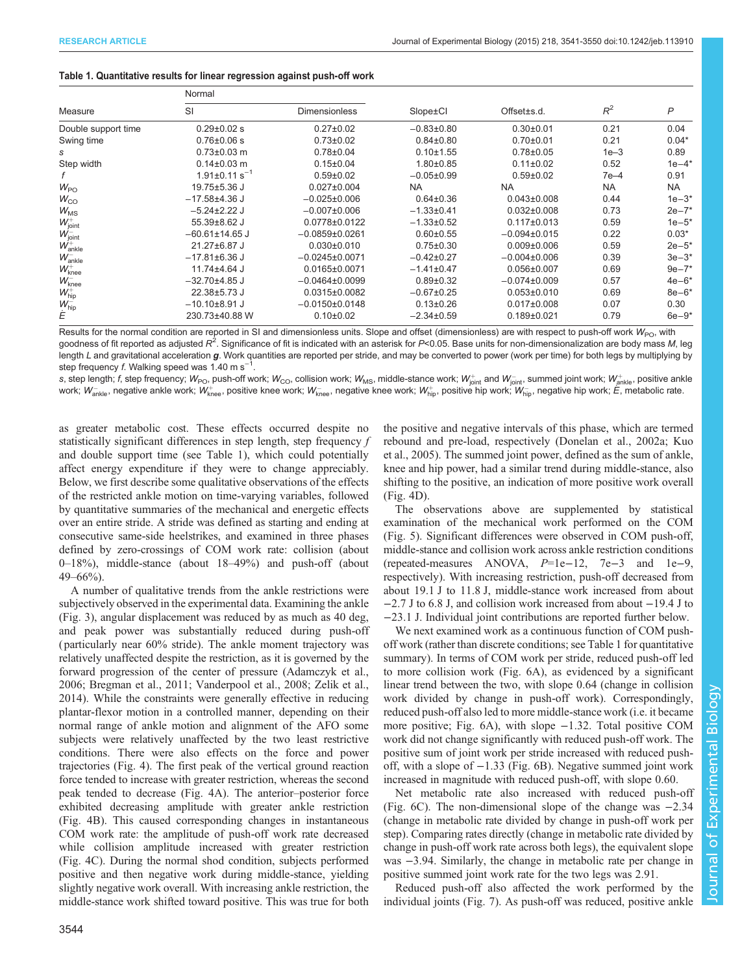## <span id="page-3-0"></span>Table 1. Quantitative results for linear regression against push-off work

|                      | Normal                          |                      |                  |                   |           |              |
|----------------------|---------------------------------|----------------------|------------------|-------------------|-----------|--------------|
| Measure              | SI                              | <b>Dimensionless</b> | Slope±Cl         | Offset±s.d.       | $R^2$     | $\mathsf{P}$ |
| Double support time  | $0.29 \pm 0.02$ s               | $0.27 \pm 0.02$      | $-0.83\pm0.80$   | $0.30 + 0.01$     | 0.21      | 0.04         |
| Swing time           | $0.76 \pm 0.06$ s               | $0.73 \pm 0.02$      | $0.84 \pm 0.80$  | $0.70 + 0.01$     | 0.21      | $0.04*$      |
| s                    | $0.73 \pm 0.03$ m               | $0.78 + 0.04$        | $0.10 + 1.55$    | $0.78 \pm 0.05$   | $1e-3$    | 0.89         |
| Step width           | $0.14 \pm 0.03$ m               | $0.15 \pm 0.04$      | $1.80 + 0.85$    | $0.11 \pm 0.02$   | 0.52      | $1e-4*$      |
|                      | $1.91 \pm 0.11$ s <sup>-1</sup> | $0.59 \pm 0.02$      | $-0.05 \pm 0.99$ | $0.59 + 0.02$     | $7e-4$    | 0.91         |
| $W_{\text{PO}}$      | 19.75±5.36 J                    | $0.027 \pm 0.004$    | <b>NA</b>        | <b>NA</b>         | <b>NA</b> | NA.          |
| $W_{CO}$             | $-17.58 + 4.36$ J               | $-0.025 \pm 0.006$   | $0.64 \pm 0.36$  | $0.043 \pm 0.008$ | 0.44      | $1e-3*$      |
| $W_{\text{MS}}$      | $-5.24 \pm 2.22$ J              | $-0.007 \pm 0.006$   | $-1.33\pm0.41$   | $0.032 \pm 0.008$ | 0.73      | $2e - 7*$    |
| $W^+_{\text{joint}}$ | 55.39±8.62 J                    | 0.0778±0.0122        | $-1.33 \pm 0.52$ | $0.117 \pm 0.013$ | 0.59      | $1e - 5^*$   |
| $W^-_{\text{joint}}$ | $-60.61 \pm 14.65$ J            | $-0.0859\pm0.0261$   | $0.60 + 0.55$    | $-0.094\pm0.015$  | 0.22      | $0.03*$      |
| $W^+_{ankle}$        | 21.27±6.87 J                    | $0.030 \pm 0.010$    | $0.75 \pm 0.30$  | $0.009 + 0.006$   | 0.59      | $2e-5*$      |
| $W_{ankle}^-$        | $-17.81\pm6.36$ J               | $-0.0245\pm0.0071$   | $-0.42\pm0.27$   | $-0.004\pm0.006$  | 0.39      | $3e - 3*$    |
| $W_{\text{knee}}^+$  | 11.74±4.64 J                    | $0.0165 \pm 0.0071$  | $-1.41\pm0.47$   | $0.056 \pm 0.007$ | 0.69      | $9e - 7*$    |
| $W_{\text{knee}}^-$  | $-32.70 + 4.85$ J               | $-0.0464\pm0.0099$   | $0.89 + 0.32$    | $-0.074\pm0.009$  | 0.57      | $4e-6*$      |
| $W_{\text{hip}}^+$   | 22.38±5.73 J                    | $0.0315 \pm 0.0082$  | $-0.67 \pm 0.25$ | $0.053 \pm 0.010$ | 0.69      | $8e - 6*$    |
| $W_{\text{hip}}^-$   | $-10.10\pm8.91$ J               | $-0.0150\pm0.0148$   | $0.13 \pm 0.26$  | $0.017 \pm 0.008$ | 0.07      | 0.30         |
| Ė                    | 230.73±40.88 W                  | $0.10 + 0.02$        | $-2.34\pm0.59$   | $0.189 + 0.021$   | 0.79      | $6e - 9*$    |

Results for the normal condition are reported in SI and dimensionless units. Slope and offset (dimensionless) are with respect to push-off work  $W_{\text{PO}}$ , with goodness of fit reported as adjusted  $R^2$ . Significance of fit is indicated with an asterisk for P<0.05. Base units for non-dimensionalization are body mass M, leg length L and gravitational acceleration g. Work quantities are reported per stride, and may be converted to power (work per time) for both legs by multiplying by step frequency f. Walking speed was 1.40 m s<sup>-1</sup> .

s, step length;  $f$ , step frequency;  $W_{\text{PO}}$ , push-off work;  $W_{\text{CO}}$ , collision work;  $W_{\text{MS}}$ , middle-stance work;  $W_{\text{joint}}^+$  and  $W_{\text{joint}}^-$ , summed joint work;  $W_{\text{ankle}}^+$ , positive ankle work;  $W_{\mathsf{anke}}^-$ , negative ankle work;  $W_{\mathsf{knee}}^+$ , positive knee work;  $W_{\mathsf{knee}}^-$ , negative knee work;  $W_{\mathsf{hip}}^+$ , positive hip work;  $W_{\mathsf{hip}}^-$ , negative hip work;  $\tilde{E}$ , metabolic rate.

as greater metabolic cost. These effects occurred despite no statistically significant differences in step length, step frequency f and double support time (see Table 1), which could potentially affect energy expenditure if they were to change appreciably. Below, we first describe some qualitative observations of the effects of the restricted ankle motion on time-varying variables, followed by quantitative summaries of the mechanical and energetic effects over an entire stride. A stride was defined as starting and ending at consecutive same-side heelstrikes, and examined in three phases defined by zero-crossings of COM work rate: collision (about 0–18%), middle-stance (about 18–49%) and push-off (about  $49 - 66\%$ ).

A number of qualitative trends from the ankle restrictions were subjectively observed in the experimental data. Examining the ankle [\(Fig. 3\)](#page-4-0), angular displacement was reduced by as much as 40 deg, and peak power was substantially reduced during push-off ( particularly near 60% stride). The ankle moment trajectory was relatively unaffected despite the restriction, as it is governed by the forward progression of the center of pressure [\(Adamczyk et al.,](#page-8-0) [2006](#page-8-0); [Bregman et al., 2011;](#page-8-0) [Vanderpool et al., 2008](#page-9-0); [Zelik et al.,](#page-9-0) [2014](#page-9-0)). While the constraints were generally effective in reducing plantar-flexor motion in a controlled manner, depending on their normal range of ankle motion and alignment of the AFO some subjects were relatively unaffected by the two least restrictive conditions. There were also effects on the force and power trajectories ([Fig. 4](#page-5-0)). The first peak of the vertical ground reaction force tended to increase with greater restriction, whereas the second peak tended to decrease [\(Fig. 4](#page-5-0)A). The anterior–posterior force exhibited decreasing amplitude with greater ankle restriction [\(Fig. 4](#page-5-0)B). This caused corresponding changes in instantaneous COM work rate: the amplitude of push-off work rate decreased while collision amplitude increased with greater restriction [\(Fig. 4](#page-5-0)C). During the normal shod condition, subjects performed positive and then negative work during middle-stance, yielding slightly negative work overall. With increasing ankle restriction, the middle-stance work shifted toward positive. This was true for both the positive and negative intervals of this phase, which are termed rebound and pre-load, respectively ([Donelan et al., 2002a; Kuo](#page-8-0) [et al., 2005\)](#page-8-0). The summed joint power, defined as the sum of ankle, knee and hip power, had a similar trend during middle-stance, also shifting to the positive, an indication of more positive work overall [\(Fig. 4](#page-5-0)D).

The observations above are supplemented by statistical examination of the mechanical work performed on the COM [\(Fig. 5](#page-5-0)). Significant differences were observed in COM push-off, middle-stance and collision work across ankle restriction conditions (repeated-measures ANOVA, P=1e−12, 7e−3 and 1e−9, respectively). With increasing restriction, push-off decreased from about 19.1 J to 11.8 J, middle-stance work increased from about −2.7 J to 6.8 J, and collision work increased from about −19.4 J to −23.1 J. Individual joint contributions are reported further below.

We next examined work as a continuous function of COM pushoff work (rather than discrete conditions; see Table 1 for quantitative summary). In terms of COM work per stride, reduced push-off led to more collision work [\(Fig. 6A](#page-6-0)), as evidenced by a significant linear trend between the two, with slope 0.64 (change in collision work divided by change in push-off work). Correspondingly, reduced push-off also led to more middle-stance work (i.e. it became more positive; [Fig. 6](#page-6-0)A), with slope −1.32. Total positive COM work did not change significantly with reduced push-off work. The positive sum of joint work per stride increased with reduced pushoff, with a slope of −1.33 ([Fig. 6B](#page-6-0)). Negative summed joint work increased in magnitude with reduced push-off, with slope 0.60.

Net metabolic rate also increased with reduced push-off [\(Fig. 6C](#page-6-0)). The non-dimensional slope of the change was −2.34 (change in metabolic rate divided by change in push-off work per step). Comparing rates directly (change in metabolic rate divided by change in push-off work rate across both legs), the equivalent slope was −3.94. Similarly, the change in metabolic rate per change in positive summed joint work rate for the two legs was 2.91.

Reduced push-off also affected the work performed by the individual joints ([Fig. 7\)](#page-7-0). As push-off was reduced, positive ankle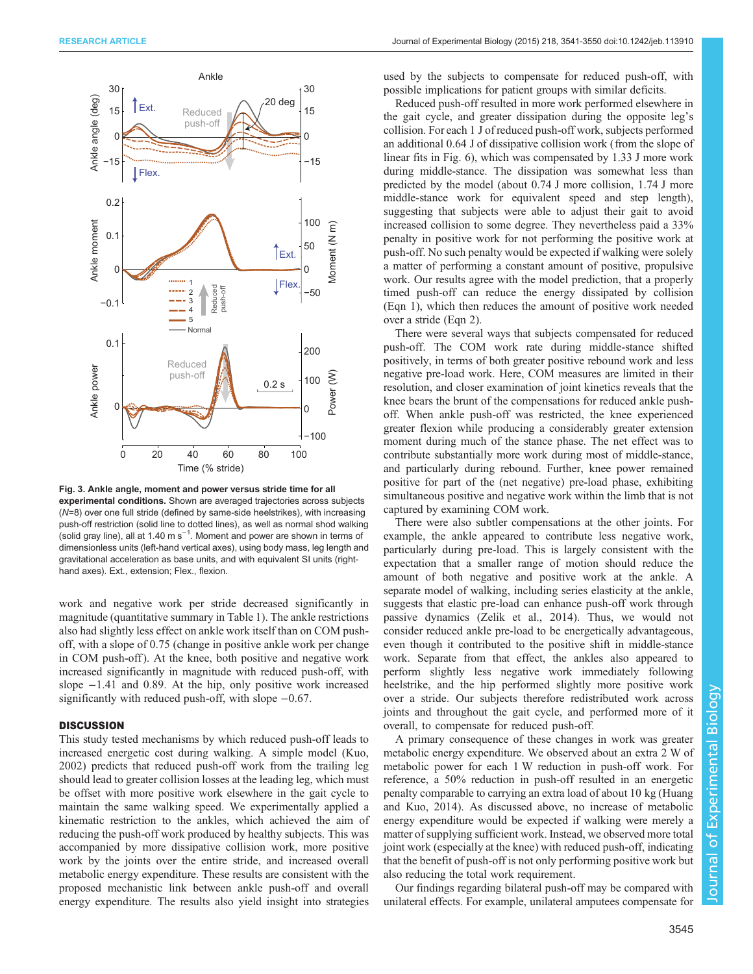<span id="page-4-0"></span>

Fig. 3. Ankle angle, moment and power versus stride time for all experimental conditions. Shown are averaged trajectories across subjects (N=8) over one full stride (defined by same-side heelstrikes), with increasing push-off restriction (solid line to dotted lines), as well as normal shod walking (solid gray line), all at 1.40 m s<sup>−1</sup>. Moment and power are shown in terms of dimensionless units (left-hand vertical axes), using body mass, leg length and gravitational acceleration as base units, and with equivalent SI units (righthand axes). Ext., extension; Flex., flexion.

work and negative work per stride decreased significantly in magnitude (quantitative summary in [Table 1\)](#page-3-0). The ankle restrictions also had slightly less effect on ankle work itself than on COM pushoff, with a slope of 0.75 (change in positive ankle work per change in COM push-off ). At the knee, both positive and negative work increased significantly in magnitude with reduced push-off, with slope −1.41 and 0.89. At the hip, only positive work increased significantly with reduced push-off, with slope  $-0.67$ .

# **DISCUSSION**

This study tested mechanisms by which reduced push-off leads to increased energetic cost during walking. A simple model [\(Kuo,](#page-8-0) [2002](#page-8-0)) predicts that reduced push-off work from the trailing leg should lead to greater collision losses at the leading leg, which must be offset with more positive work elsewhere in the gait cycle to maintain the same walking speed. We experimentally applied a kinematic restriction to the ankles, which achieved the aim of reducing the push-off work produced by healthy subjects. This was accompanied by more dissipative collision work, more positive work by the joints over the entire stride, and increased overall metabolic energy expenditure. These results are consistent with the proposed mechanistic link between ankle push-off and overall energy expenditure. The results also yield insight into strategies

used by the subjects to compensate for reduced push-off, with possible implications for patient groups with similar deficits.

Reduced push-off resulted in more work performed elsewhere in the gait cycle, and greater dissipation during the opposite leg's collision. For each 1 J of reduced push-off work, subjects performed an additional 0.64 J of dissipative collision work (from the slope of linear fits in [Fig. 6\)](#page-6-0), which was compensated by 1.33 J more work during middle-stance. The dissipation was somewhat less than predicted by the model (about 0.74 J more collision, 1.74 J more middle-stance work for equivalent speed and step length), suggesting that subjects were able to adjust their gait to avoid increased collision to some degree. They nevertheless paid a 33% penalty in positive work for not performing the positive work at push-off. No such penalty would be expected if walking were solely a matter of performing a constant amount of positive, propulsive work. Our results agree with the model prediction, that a properly timed push-off can reduce the energy dissipated by collision (Eqn 1), which then reduces the amount of positive work needed over a stride (Eqn 2).

There were several ways that subjects compensated for reduced push-off. The COM work rate during middle-stance shifted positively, in terms of both greater positive rebound work and less negative pre-load work. Here, COM measures are limited in their resolution, and closer examination of joint kinetics reveals that the knee bears the brunt of the compensations for reduced ankle pushoff. When ankle push-off was restricted, the knee experienced greater flexion while producing a considerably greater extension moment during much of the stance phase. The net effect was to contribute substantially more work during most of middle-stance, and particularly during rebound. Further, knee power remained positive for part of the (net negative) pre-load phase, exhibiting simultaneous positive and negative work within the limb that is not captured by examining COM work.

There were also subtler compensations at the other joints. For example, the ankle appeared to contribute less negative work, particularly during pre-load. This is largely consistent with the expectation that a smaller range of motion should reduce the amount of both negative and positive work at the ankle. A separate model of walking, including series elasticity at the ankle, suggests that elastic pre-load can enhance push-off work through passive dynamics [\(Zelik et al., 2014](#page-9-0)). Thus, we would not consider reduced ankle pre-load to be energetically advantageous, even though it contributed to the positive shift in middle-stance work. Separate from that effect, the ankles also appeared to perform slightly less negative work immediately following heelstrike, and the hip performed slightly more positive work over a stride. Our subjects therefore redistributed work across joints and throughout the gait cycle, and performed more of it overall, to compensate for reduced push-off.

A primary consequence of these changes in work was greater metabolic energy expenditure. We observed about an extra 2 W of metabolic power for each 1 W reduction in push-off work. For reference, a 50% reduction in push-off resulted in an energetic penalty comparable to carrying an extra load of about 10 kg ([Huang](#page-8-0) [and Kuo, 2014](#page-8-0)). As discussed above, no increase of metabolic energy expenditure would be expected if walking were merely a matter of supplying sufficient work. Instead, we observed more total joint work (especially at the knee) with reduced push-off, indicating that the benefit of push-off is not only performing positive work but also reducing the total work requirement.

Our findings regarding bilateral push-off may be compared with unilateral effects. For example, unilateral amputees compensate for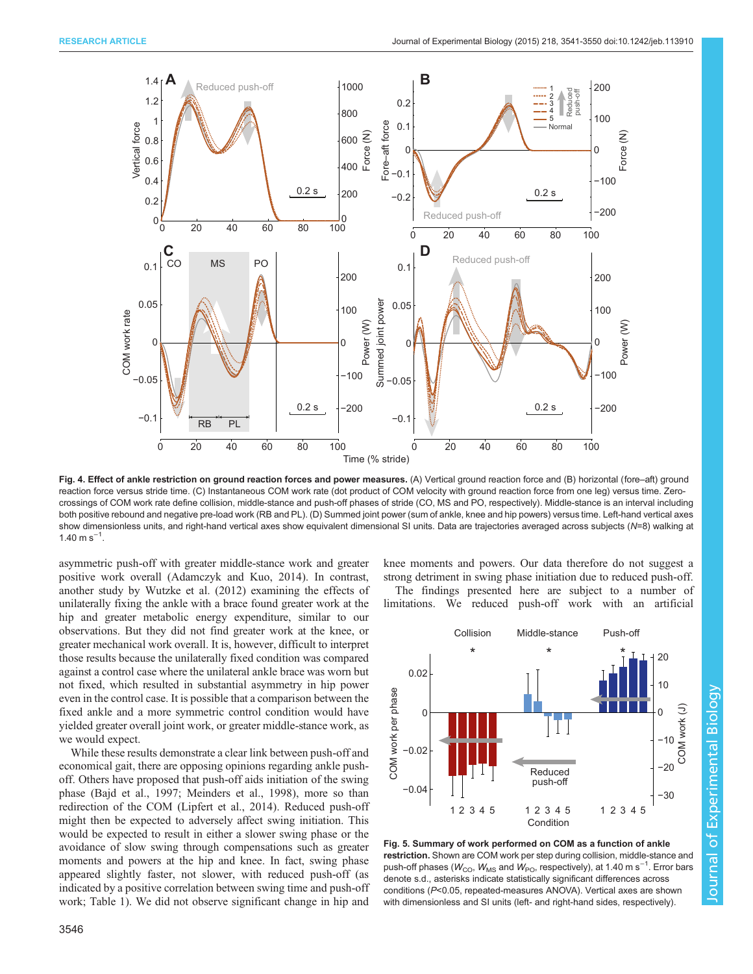<span id="page-5-0"></span>

Fig. 4. Effect of ankle restriction on ground reaction forces and power measures. (A) Vertical ground reaction force and (B) horizontal (fore–aft) ground reaction force versus stride time. (C) Instantaneous COM work rate (dot product of COM velocity with ground reaction force from one leg) versus time. Zerocrossings of COM work rate define collision, middle-stance and push-off phases of stride (CO, MS and PO, respectively). Middle-stance is an interval including both positive rebound and negative pre-load work (RB and PL). (D) Summed joint power (sum of ankle, knee and hip powers) versus time. Left-hand vertical axes show dimensionless units, and right-hand vertical axes show equivalent dimensional SI units. Data are trajectories averaged across subjects (N=8) walking at  $1.40 \text{ m s}^{-1}$ .

asymmetric push-off with greater middle-stance work and greater positive work overall [\(Adamczyk and Kuo, 2014\)](#page-8-0). In contrast, another study by [Wutzke et al. \(2012\)](#page-9-0) examining the effects of unilaterally fixing the ankle with a brace found greater work at the hip and greater metabolic energy expenditure, similar to our observations. But they did not find greater work at the knee, or greater mechanical work overall. It is, however, difficult to interpret those results because the unilaterally fixed condition was compared against a control case where the unilateral ankle brace was worn but not fixed, which resulted in substantial asymmetry in hip power even in the control case. It is possible that a comparison between the fixed ankle and a more symmetric control condition would have yielded greater overall joint work, or greater middle-stance work, as we would expect.

While these results demonstrate a clear link between push-off and economical gait, there are opposing opinions regarding ankle pushoff. Others have proposed that push-off aids initiation of the swing phase ([Bajd et al., 1997; Meinders et al., 1998\)](#page-8-0), more so than redirection of the COM [\(Lipfert et al., 2014](#page-8-0)). Reduced push-off might then be expected to adversely affect swing initiation. This would be expected to result in either a slower swing phase or the avoidance of slow swing through compensations such as greater moments and powers at the hip and knee. In fact, swing phase appeared slightly faster, not slower, with reduced push-off (as indicated by a positive correlation between swing time and push-off work; [Table 1\)](#page-3-0). We did not observe significant change in hip and

3546

knee moments and powers. Our data therefore do not suggest a strong detriment in swing phase initiation due to reduced push-off.

The findings presented here are subject to a number of limitations. We reduced push-off work with an artificial



Fig. 5. Summary of work performed on COM as a function of ankle restriction. Shown are COM work per step during collision, middle-stance and push-off phases ( $W_{\rm CO}$ ,  $W_{\rm MS}$  and  $W_{\rm PO}$ , respectively), at 1.40 m s $^{-1}$ . Error bars denote s.d., asterisks indicate statistically significant differences across conditions (P<0.05, repeated-measures ANOVA). Vertical axes are shown with dimensionless and SI units (left- and right-hand sides, respectively).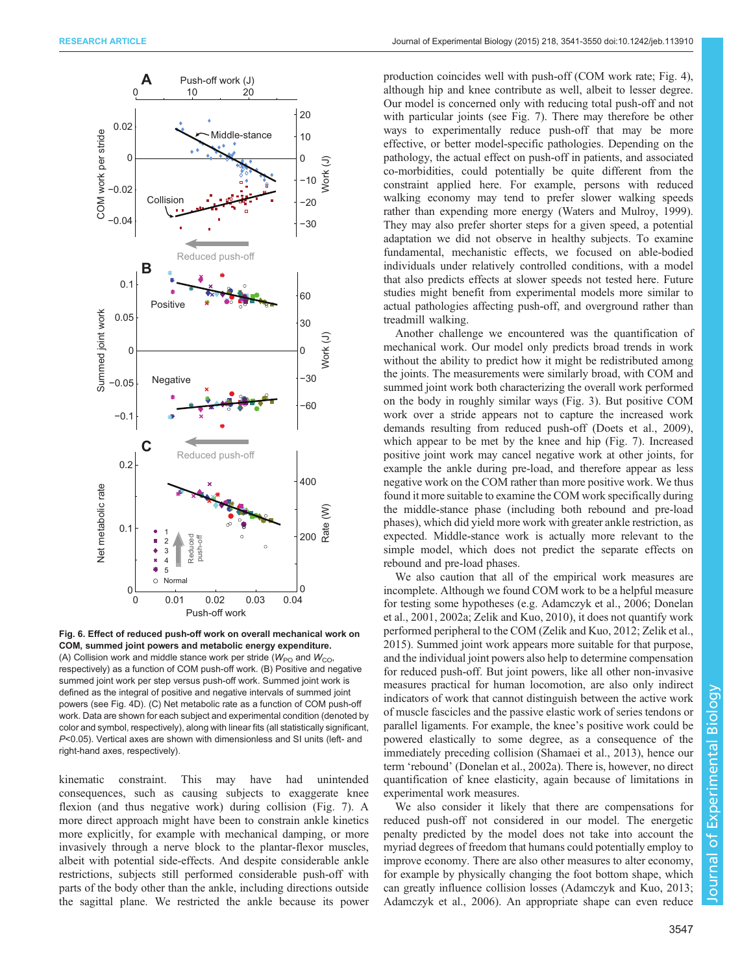<span id="page-6-0"></span>

Fig. 6. Effect of reduced push-off work on overall mechanical work on COM, summed joint powers and metabolic energy expenditure. (A) Collision work and middle stance work per stride ( $W_{\text{PO}}$  and  $W_{\text{CO}}$ , respectively) as a function of COM push-off work. (B) Positive and negative summed joint work per step versus push-off work. Summed joint work is defined as the integral of positive and negative intervals of summed joint powers (see [Fig. 4D](#page-5-0)). (C) Net metabolic rate as a function of COM push-off work. Data are shown for each subject and experimental condition (denoted by color and symbol, respectively), along with linear fits (all statistically significant, P<0.05). Vertical axes are shown with dimensionless and SI units (left- and right-hand axes, respectively).

kinematic constraint. This may have had unintended consequences, such as causing subjects to exaggerate knee flexion (and thus negative work) during collision ([Fig. 7\)](#page-7-0). A more direct approach might have been to constrain ankle kinetics more explicitly, for example with mechanical damping, or more invasively through a nerve block to the plantar-flexor muscles, albeit with potential side-effects. And despite considerable ankle restrictions, subjects still performed considerable push-off with parts of the body other than the ankle, including directions outside the sagittal plane. We restricted the ankle because its power

production coincides well with push-off (COM work rate; [Fig. 4\)](#page-5-0), although hip and knee contribute as well, albeit to lesser degree. Our model is concerned only with reducing total push-off and not with particular joints (see [Fig. 7\)](#page-7-0). There may therefore be other ways to experimentally reduce push-off that may be more effective, or better model-specific pathologies. Depending on the pathology, the actual effect on push-off in patients, and associated co-morbidities, could potentially be quite different from the constraint applied here. For example, persons with reduced walking economy may tend to prefer slower walking speeds rather than expending more energy [\(Waters and Mulroy, 1999\)](#page-9-0). They may also prefer shorter steps for a given speed, a potential adaptation we did not observe in healthy subjects. To examine fundamental, mechanistic effects, we focused on able-bodied individuals under relatively controlled conditions, with a model that also predicts effects at slower speeds not tested here. Future studies might benefit from experimental models more similar to actual pathologies affecting push-off, and overground rather than treadmill walking.

Another challenge we encountered was the quantification of mechanical work. Our model only predicts broad trends in work without the ability to predict how it might be redistributed among the joints. The measurements were similarly broad, with COM and summed joint work both characterizing the overall work performed on the body in roughly similar ways [\(Fig. 3\)](#page-4-0). But positive COM work over a stride appears not to capture the increased work demands resulting from reduced push-off ([Doets et al., 2009\)](#page-8-0), which appear to be met by the knee and hip ([Fig. 7](#page-7-0)). Increased positive joint work may cancel negative work at other joints, for example the ankle during pre-load, and therefore appear as less negative work on the COM rather than more positive work. We thus found it more suitable to examine the COM work specifically during the middle-stance phase (including both rebound and pre-load phases), which did yield more work with greater ankle restriction, as expected. Middle-stance work is actually more relevant to the simple model, which does not predict the separate effects on rebound and pre-load phases.

We also caution that all of the empirical work measures are incomplete. Although we found COM work to be a helpful measure for testing some hypotheses (e.g. [Adamczyk et al., 2006; Donelan](#page-8-0) [et al., 2001, 2002a;](#page-8-0) [Zelik and Kuo, 2010\)](#page-9-0), it does not quantify work performed peripheral to the COM [\(Zelik and Kuo, 2012](#page-9-0); [Zelik et al.,](#page-9-0) [2015\)](#page-9-0). Summed joint work appears more suitable for that purpose, and the individual joint powers also help to determine compensation for reduced push-off. But joint powers, like all other non-invasive measures practical for human locomotion, are also only indirect indicators of work that cannot distinguish between the active work of muscle fascicles and the passive elastic work of series tendons or parallel ligaments. For example, the knee's positive work could be powered elastically to some degree, as a consequence of the immediately preceding collision ([Shamaei et al., 2013](#page-8-0)), hence our term 'rebound' [\(Donelan et al., 2002a\)](#page-8-0). There is, however, no direct quantification of knee elasticity, again because of limitations in experimental work measures.

We also consider it likely that there are compensations for reduced push-off not considered in our model. The energetic penalty predicted by the model does not take into account the myriad degrees of freedom that humans could potentially employ to improve economy. There are also other measures to alter economy, for example by physically changing the foot bottom shape, which can greatly influence collision losses ([Adamczyk and Kuo, 2013](#page-8-0); [Adamczyk et al., 2006](#page-8-0)). An appropriate shape can even reduce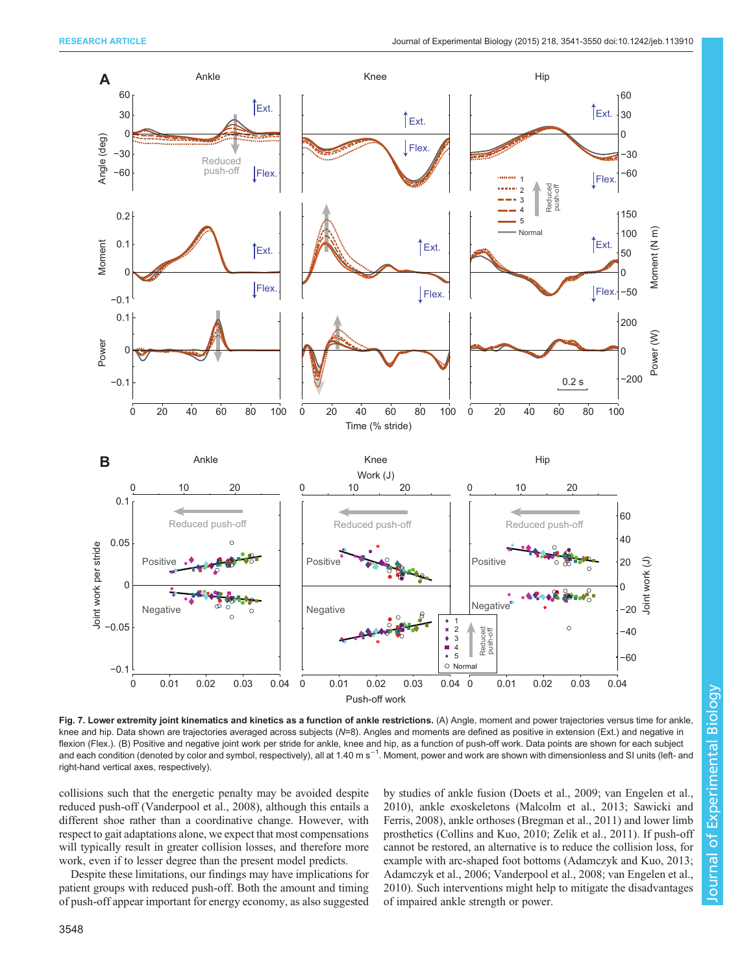<span id="page-7-0"></span>

Fig. 7. Lower extremity joint kinematics and kinetics as a function of ankle restrictions. (A) Angle, moment and power trajectories versus time for ankle, knee and hip. Data shown are trajectories averaged across subjects (N=8). Angles and moments are defined as positive in extension (Ext.) and negative in flexion (Flex.). (B) Positive and negative joint work per stride for ankle, knee and hip, as a function of push-off work. Data points are shown for each subject and each condition (denoted by color and symbol, respectively), all at 1.40 m s<sup>−1</sup>. Moment, power and work are shown with dimensionless and SI units (left- and right-hand vertical axes, respectively).

collisions such that the energetic penalty may be avoided despite reduced push-off [\(Vanderpool et al., 2008](#page-9-0)), although this entails a different shoe rather than a coordinative change. However, with respect to gait adaptations alone, we expect that most compensations will typically result in greater collision losses, and therefore more work, even if to lesser degree than the present model predicts.

Despite these limitations, our findings may have implications for patient groups with reduced push-off. Both the amount and timing of push-off appear important for energy economy, as also suggested by studies of ankle fusion ([Doets et al., 2009](#page-8-0); [van Engelen et al.,](#page-9-0) [2010\)](#page-9-0), ankle exoskeletons ([Malcolm et al., 2013](#page-8-0); [Sawicki and](#page-8-0) [Ferris, 2008](#page-8-0)), ankle orthoses [\(Bregman et al., 2011](#page-8-0)) and lower limb prosthetics [\(Collins and Kuo, 2010;](#page-8-0) [Zelik et al., 2011](#page-9-0)). If push-off cannot be restored, an alternative is to reduce the collision loss, for example with arc-shaped foot bottoms ([Adamczyk and Kuo, 2013](#page-8-0); [Adamczyk et al., 2006;](#page-8-0) [Vanderpool et al., 2008; van Engelen et al.,](#page-9-0) [2010\)](#page-9-0). Such interventions might help to mitigate the disadvantages of impaired ankle strength or power.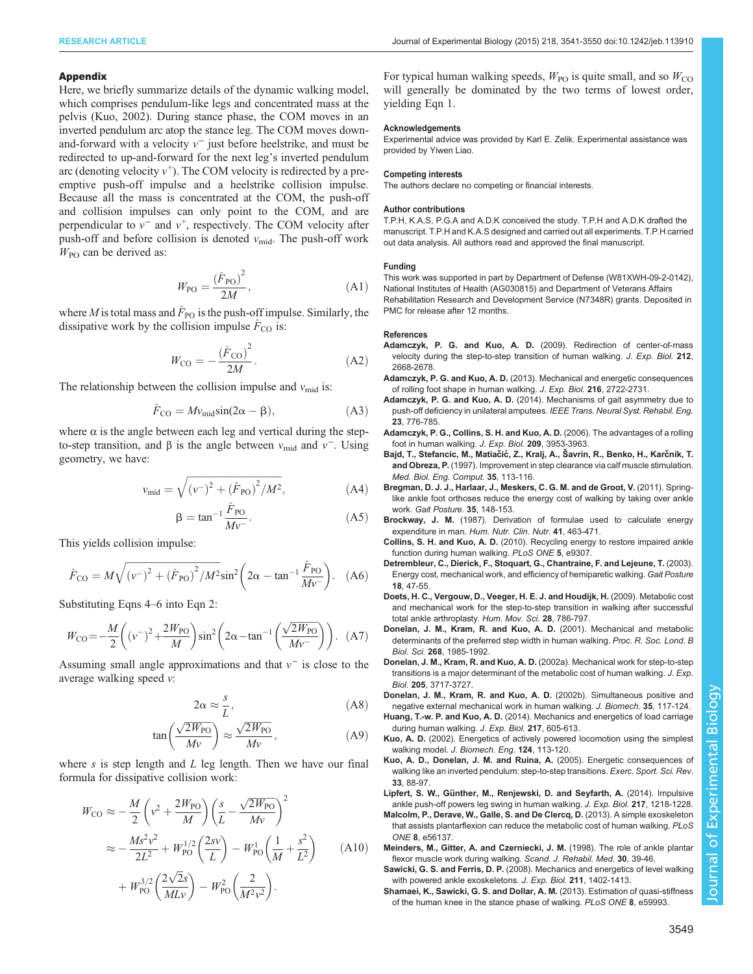## <span id="page-8-0"></span>Appendix

Here, we briefly summarize details of the dynamic walking model, which comprises pendulum-like legs and concentrated mass at the pelvis (Kuo, 2002). During stance phase, the COM moves in an inverted pendulum arc atop the stance leg. The COM moves downand-forward with a velocity  $v^-$  just before heelstrike, and must be redirected to up-and-forward for the next leg's inverted pendulum arc (denoting velocity  $v^+$ ). The COM velocity is redirected by a preemptive push-off impulse and a heelstrike collision impulse. Because all the mass is concentrated at the COM, the push-off and collision impulses can only point to the COM, and are perpendicular to  $v^-$  and  $v^+$ , respectively. The COM velocity after push-off and before collision is denoted  $v_{mid}$ . The push-off work  $W_{\text{PO}}$  can be derived as:

$$
W_{\rm PO} = \frac{\left(\hat{F}_{\rm PO}\right)^2}{2M},\tag{A1}
$$

where M is total mass and  $\hat{F}_{\text{PO}}$  is the push-off impulse. Similarly, the dissipative work by the collision impulse  $F_{\text{CO}}$  is:

$$
W_{\rm CO} = -\frac{\left(\hat{F}_{\rm CO}\right)^2}{2M}.\tag{A2}
$$

The relationship between the collision impulse and  $v_{mid}$  is:

$$
\hat{F}_{\text{CO}} = M v_{\text{mid}} \sin(2\alpha - \beta), \tag{A3}
$$

where  $\alpha$  is the angle between each leg and vertical during the stepto-step transition, and β is the angle between  $v_{mid}$  and  $v^-$ . Using geometry, we have:

$$
v_{\rm mid} = \sqrt{(\nu^{-})^2 + (\hat{F}_{\rm PO})^2/M^2},\tag{A4}
$$

$$
\beta = \tan^{-1} \frac{\hat{F}_{\text{PO}}}{Mv^{-}}.
$$
\n(A5)

This yields collision impulse:

$$
\hat{F}_{\rm CO} = M \sqrt{(\nu^{-})^2 + (\hat{F}_{\rm PO})^2 / M^2} \sin^2 \left(2\alpha - \tan^{-1} \frac{\hat{F}_{\rm PO}}{M \nu^{-}}\right). \quad (A6)
$$

Substituting Eqns 4–6 into Eqn 2:

$$
W_{\rm CO} = -\frac{M}{2} \left( (v^{-})^2 + \frac{2W_{\rm PO}}{M} \right) \sin^2 \left( 2\alpha - \tan^{-1} \left( \frac{\sqrt{2W_{\rm PO}}}{Mv^{-}} \right) \right). \tag{A7}
$$

Assuming small angle approximations and that  $v^-$  is close to the average walking speed v:

$$
2\alpha \approx \frac{s}{L},\tag{A8}
$$

$$
\tan\left(\frac{\sqrt{2W_{\text{PO}}}}{Mv}\right) \approx \frac{\sqrt{2W_{\text{PO}}}}{Mv},\tag{A9}
$$

where  $s$  is step length and  $L$  leg length. Then we have our final formula for dissipative collision work:

$$
W_{\rm CO} \approx -\frac{M}{2} \left( v^2 + \frac{2W_{\rm PO}}{M} \right) \left( \frac{s}{L} - \frac{\sqrt{2W_{\rm PO}}}{Mv} \right)^2
$$
  

$$
\approx -\frac{Ms^2v^2}{2L^2} + W_{\rm PO}^{1/2} \left( \frac{2sv}{L} \right) - W_{\rm PO}^1 \left( \frac{1}{M} + \frac{s^2}{L^2} \right) \qquad (A10)
$$
  

$$
+ W_{\rm PO}^{3/2} \left( \frac{2\sqrt{2}s}{MLv} \right) - W_{\rm PO}^2 \left( \frac{2}{M^2v^2} \right).
$$

For typical human walking speeds,  $W_{\text{PO}}$  is quite small, and so  $W_{\text{CO}}$ will generally be dominated by the two terms of lowest order, yielding Eqn 1.

#### **Acknowledgements**

Experimental advice was provided by Karl E. Zelik. Experimental assistance was provided by Yiwen Liao.

## Competing interests

The authors declare no competing or financial interests.

## Author contributions

T.P.H, K.A.S, P.G.A and A.D.K conceived the study. T.P.H and A.D.K drafted the manuscript. T.P.H and K.A.S designed and carried out all experiments. T.P.H carried out data analysis. All authors read and approved the final manuscript.

## Funding

This work was supported in part by Department of Defense (W81XWH-09-2-0142), National Institutes of Health (AG030815) and Department of Veterans Affairs Rehabilitation Research and Development Service (N7348R) grants. Deposited in PMC for release after 12 months.

#### References

- Adamczyk, P. G. and Kuo, A. D. [\(2009\). Redirection of center-of-mass](http://dx.doi.org/10.1242/jeb.027581) [velocity during the step-to-step transition of human walking.](http://dx.doi.org/10.1242/jeb.027581) J. Exp. Biol. 212, [2668-2678.](http://dx.doi.org/10.1242/jeb.027581)
- Adamczyk, P. G. and Kuo, A. D. [\(2013\). Mechanical and energetic consequences](http://dx.doi.org/10.1242/jeb.082347) [of rolling foot shape in human walking.](http://dx.doi.org/10.1242/jeb.082347) J. Exp. Biol. 216, 2722-2731.
- Adamczyk, P. G. and Kuo, A. D. [\(2014\). Mechanisms of gait asymmetry due to](http://dx.doi.org/10.1109/TNSRE.2014.2356722) [push-off deficiency in unilateral amputees.](http://dx.doi.org/10.1109/TNSRE.2014.2356722) IEEE Trans. Neural Syst. Rehabil. Eng. 23[, 776-785.](http://dx.doi.org/10.1109/TNSRE.2014.2356722)
- [Adamczyk, P. G., Collins, S. H. and Kuo, A. D.](http://dx.doi.org/10.1242/jeb.02455) (2006). The advantages of a rolling [foot in human walking.](http://dx.doi.org/10.1242/jeb.02455) J. Exp. Biol. 209, 3953-3963.
- Bajd, T., Stefancic, M., Matiačić, Z., Kralj, A., Šavrin, R., Benko, H., Karčnik, T. and Obreza, P. [\(1997\). Improvement in step clearance via calf muscle stimulation.](http://dx.doi.org/10.1007/BF02534140) [Med. Biol. Eng. Comput.](http://dx.doi.org/10.1007/BF02534140) 35, 113-116.
- [Bregman, D. J. J., Harlaar, J., Meskers, C. G. M. and de Groot, V.](http://dx.doi.org/10.1007/BF02534140) (2011). Spring[like ankle foot orthoses reduce the energy cost of walking by taking over ankle](http://dx.doi.org/10.1007/BF02534140) work. [Gait Posture](http://dx.doi.org/10.1007/BF02534140). 35, 148-153.
- Brockway, J. M. (1987). Derivation of formulae used to calculate energy expenditure in man. Hum. Nutr. Clin. Nutr. 41, 463-471.
- Collins, S. H. and Kuo, A. D. [\(2010\). Recycling energy to restore impaired ankle](http://dx.doi.org/10.1371/journal.pone.0009307) [function during human walking.](http://dx.doi.org/10.1371/journal.pone.0009307) PLoS ONE 5, e9307.
- [Detrembleur, C., Dierick, F., Stoquart, G., Chantraine, F. and Lejeune, T.](http://dx.doi.org/10.1016/S0966-6362(02)00193-5) (2003). [Energy cost, mechanical work, and efficiency of hemiparetic walking.](http://dx.doi.org/10.1016/S0966-6362(02)00193-5) Gait Posture 18[, 47-55.](http://dx.doi.org/10.1016/S0966-6362(02)00193-5)
- [Doets, H. C., Vergouw, D., Veeger, H. E. J. and Houdijk, H.](http://dx.doi.org/10.1016/j.humov.2009.05.001) (2009). Metabolic cost [and mechanical work for the step-to-step transition in walking after successful](http://dx.doi.org/10.1016/j.humov.2009.05.001) [total ankle arthroplasty.](http://dx.doi.org/10.1016/j.humov.2009.05.001) Hum. Mov. Sci. 28, 786-797.
- [Donelan, J. M., Kram, R. and Kuo, A. D.](http://dx.doi.org/10.1098/rspb.2001.1761) (2001). Mechanical and metabolic [determinants of the preferred step width in human walking.](http://dx.doi.org/10.1098/rspb.2001.1761) Proc. R. Soc. Lond. B Biol. Sci. 268[, 1985-1992.](http://dx.doi.org/10.1098/rspb.2001.1761)
- Donelan, J. M., Kram, R. and Kuo, A. D. (2002a). Mechanical work for step-to-step transitions is a major determinant of the metabolic cost of human walking. J. Exp. Biol. 205, 3717-3727.

[Donelan, J. M., Kram, R. and Kuo, A. D.](http://dx.doi.org/10.1016/S0021-9290(01)00169-5) (2002b). Simultaneous positive and [negative external mechanical work in human walking.](http://dx.doi.org/10.1016/S0021-9290(01)00169-5) J. Biomech. 35, 117-124.

- Huang, T.-w. P. and Kuo, A. D. [\(2014\). Mechanics and energetics of load carriage](http://dx.doi.org/10.1242/jeb.091587) [during human walking.](http://dx.doi.org/10.1242/jeb.091587) J. Exp. Biol. 217, 605-613.
- Kuo, A. D. [\(2002\). Energetics of actively powered locomotion using the simplest](http://dx.doi.org/10.1115/1.1427703) walking model. [J. Biomech. Eng.](http://dx.doi.org/10.1115/1.1427703) 124, 113-120.
- [Kuo, A. D., Donelan, J. M. and Ruina, A.](http://dx.doi.org/10.1097/00003677-200504000-00006) (2005). Energetic consequences of [walking like an inverted pendulum: step-to-step transitions.](http://dx.doi.org/10.1097/00003677-200504000-00006) Exerc. Sport. Sci. Rev. 33[, 88-97.](http://dx.doi.org/10.1097/00003677-200504000-00006)
- Lipfert, S. W., Gü[nther, M., Renjewski, D. and Seyfarth, A.](http://dx.doi.org/10.1242/jeb.097345) (2014). Impulsive [ankle push-off powers leg swing in human walking.](http://dx.doi.org/10.1242/jeb.097345) J. Exp. Biol. 217, 1218-1228.
- [Malcolm, P., Derave, W., Galle, S. and De Clercq, D.](http://dx.doi.org/10.1371/journal.pone.0056137) (2013). A simple exoskeleton [that assists plantarflexion can reduce the metabolic cost of human walking.](http://dx.doi.org/10.1371/journal.pone.0056137) PLoS ONE 8[, e56137.](http://dx.doi.org/10.1371/journal.pone.0056137)
- [Meinders, M., Gitter, A. and Czerniecki, J. M.](http://dx.doi.org/10.1080/003655098444309) (1998). The role of ankle plantar [flexor muscle work during walking.](http://dx.doi.org/10.1080/003655098444309) Scand. J. Rehabil. Med. 30, 39-46.
- Sawicki, G. S. and Ferris, D. P. [\(2008\). Mechanics and energetics of level walking](http://dx.doi.org/10.1242/jeb.009241) [with powered ankle exoskeletons.](http://dx.doi.org/10.1242/jeb.009241) J. Exp. Biol. 211, 1402-1413.
- [Shamaei, K., Sawicki, G. S. and Dollar, A. M.](http://dx.doi.org/10.1371/journal.pone.0059993) (2013). Estimation of quasi-stiffness [of the human knee in the stance phase of walking.](http://dx.doi.org/10.1371/journal.pone.0059993) PLoS ONE 8, e59993.